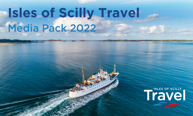# **Isles of Scilly Travel** Media Pack 2022

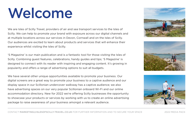# Welcome

We are Isles of Scilly Travel, providers of air and sea transport services to the Isles of Scilly. We can help to promote your brand with exposure across our digital channels and at multiple locations across our services in Devon, Cornwall and on the Isles of Scilly. Our audiences are excited to learn about products and services that will enhance their experience whilst visiting the Isles of Scilly.

'S Magazine' is our main publication and is a fantastic tool for those visiting the Isles of Scilly. Combining guest features, celebrations, handy guides and tips; 'S Magazine' is designed to connect with its reader with inspiring and engaging content. It's growing in popularity and offers a range of advertising options to suit all budgets.

We have several other unique opportunities available to promote your business. Our digital screens are a great way to promote your business to a captive audience and our display space in our Scillonian undercover walkway has a captive audience; we also have advertising spaces on our very popular Scillonian onboard Wi-Fi and our online accommodation directory. New for 2022 we're offering Scilly businesses the opportunity to showcase your products or services by working with us to create an online advertising package to raise awareness of your business amongst a relevant audience.





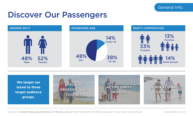# Discover Our Passengers





CONTACT MARKETING@ISLESOFSCILLY-TRAVEL.CO.UK FOR FURTHER INFORMATION AND TO SECURE YOUR SPACE 2022 MEDIA PACK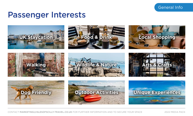# General Info

# Passenger Interests

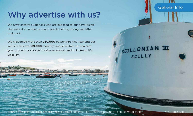# Why advertise with us?

We have captive audiences who are exposed to our advertising channels at a number of touch points before, during and after their visit.

We welcomed more than **260,000** passengers this year and our website has over **69,000** monthly unique visitors we can help your product or service to raise awareness and to increase it's visibility.

**WINDS CONTROL** 

# SCILLONIAN III SCILLY



General Info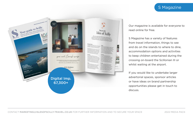# S Magazine



Our magazine is available for everyone to read online for free.

S Magazine has a variety of features from travel information, things to see and do on the islands to where to dine, accommodation options and activities to keep children entertained during the crossing on-board the Scillonian III or whilst waiting at the airport.

If you would like to undertake larger advertorial spaces, sponsor articles or have ideas on brand partnership opportunities please get in touch to discuss.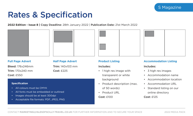# Rates & Specification

**2022 Edition - Issue 8 |** Copy Deadline: 28th January 2022 | Publication Date: 21st March 2022





## **Full Page Advert**

Bleed: 176x246mm Trim: 170x240 mm Cost: £550

## **Half Page Advert**

Trim: 140x103 mm Cost: £225

#### **Specification**

- All colours must be CMYK
- All fonts must be embedded or outlined
- Images should be at least 300dpi
- Acceptable file formats: PDF, JPEG, PNG

### **Product Listing**

#### Includes:

- 1 high res image with transparent or white background
- Product description (max. of 50 words)
- Product URL Cost: £100



## **Accommodation Listing**

## Includes:

- 3 high res images
- Accommodation name
- Accommodation location
- Accommodation URL
- Standard listing on our online directory Cost: £125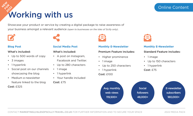# Online Content

# Working with us **FOR 2022**

Showcase your product or service by creating a digital package to raise awareness of your business amongst a relevant audience *(open to businesses on the Isles of Scilly only)*.



**NEW 19** 

# **Blog Post**

#### What's included:

- Up to 500 words of copy
- 3 images
- 1 hyperlink
- Social post on our channels showcasing the blog
- Medium e-newsletter feature linked to the blog

Cost: £325

# **Social Media Post**

# What's included:

- A post on Instagram, Facebook and Twitter.
- Up to 280 characters
- 1 image
- 1 hyperlink
- Your handle included

Cost: £75



### **Monthly E-Newsletter**

## Premium Feature includes:

- Higher prominence
- 1 image
- Up to 250 characters
- 1 hyperlink

# Cost: £100



# **Monthly E-Newsletter**

# Standard Feature includes:

- 1 image
- Up to 150 characters
- 1 hyperlink
- Cost: £75



CONTACT MARKETING@ISLESOFSCILLY-TRAVEL.CO.UK FOR FURTHER INFORMATION AND TO SECURE YOUR SPACE 2022 MEDIA PACK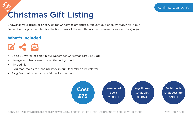# Christmas Gift Listing **NEW 19 FOR 2022**

Showcase your product or service for Christmas amongst a relevant audience by featuring in our December blog, scheduled for the first week of the month. *(open to businesses on the Isles of Scilly only)*.

# **What's included:**

K B

- Up to 50 words of copy in our December Christmas Gift List Blog
- 1 image with transparent or white background
- 1 hyperlink
- Blog featured as the leading story in our December e-newsletter
- Blog featured on all our social media channels

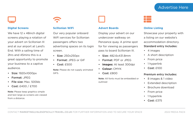# Advertise Here

### **Digital Screens**

We have 12 x 48 inch digital screens playing a rotation of your advert on Scillonian III and at our airport at Land's End. With a sailing time of 2hrs and 45mins this is a great opportunity to promote your business to a captive audience.

- Size: 1920x1000px
- Format: JPEG
- File size: Max. 500kb
- Cost: £400 / £700

Note: Please keep graphics simple and text large as screens are viewed from a distance.

# **Scillonian WiFi**

Our very popular onboard WiFi services for Scillonian passengers offers two advertising spaces on its login screen.

- Size: 250x250px
- Format: JPEG or GIF
- Cost: £500

Note: Please do not supply animated GIFS.



#### **Advert Boards**

Display your advert on our undercover walkway on Penzance quay. A prime spot for for viewing as passengers pass to board Scillonian III.

- Size: 482.6x431.8mm
- Format: PDF or JPEG
- **Images:** At least 300dpi
- **Colour:** CMYK
- $\cdot$  Cost:  $f800$

Note: All fonts must be embedded or outlined



## **Online Listing**

Showcase your property with a listing on our website's accommodation directory. Standard entry Includes:

- 4 images
- A short description
- From price
- 1 hyperlink
- Cost: £100

#### Premium entry Includes:

- 8 images & 1 video
- Extended description
- Brochure download
- From price
- 1 hyperlink
- Cost: £375